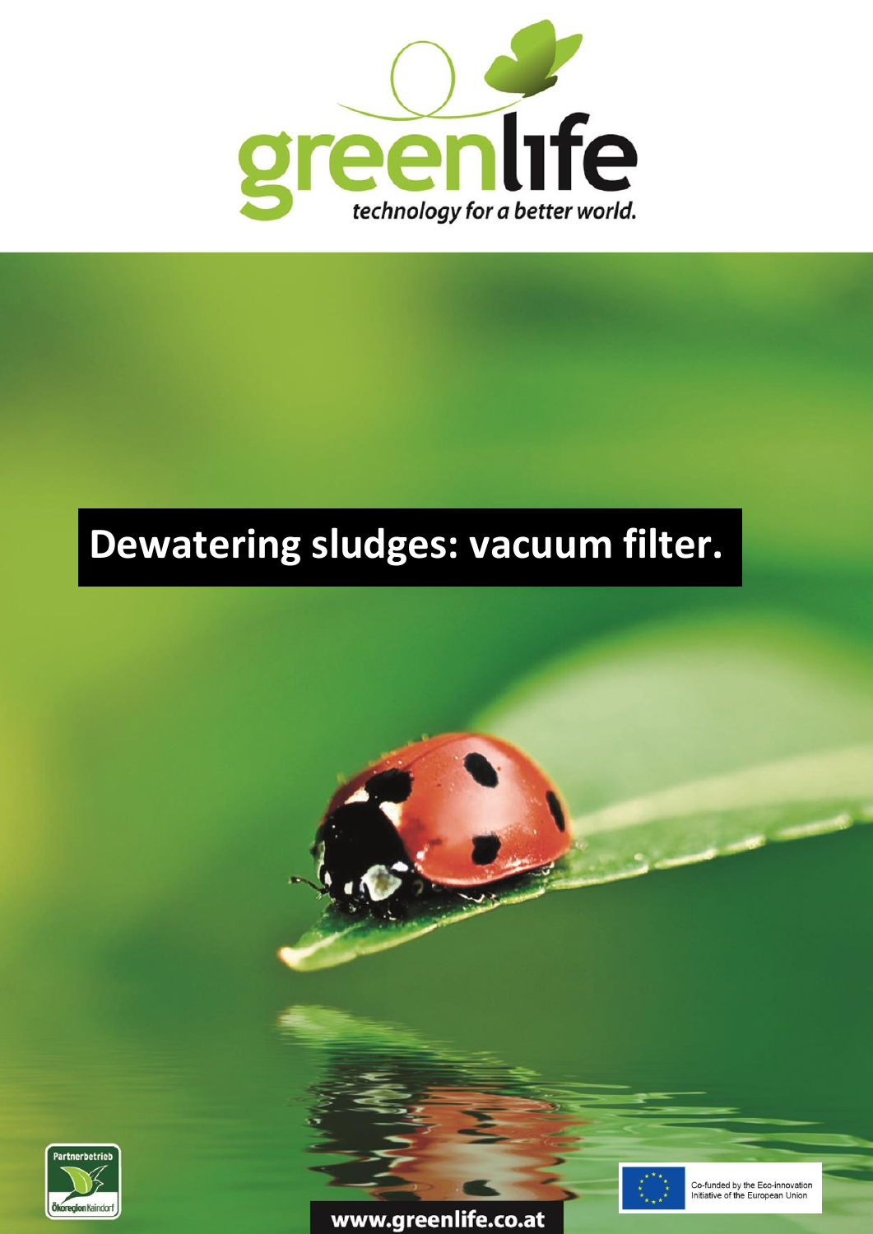

## **Dewatering sludges: vacuum filter.**



www.greenlife.co.at



Co-funded by the Eco-innovation Initiative of the European Union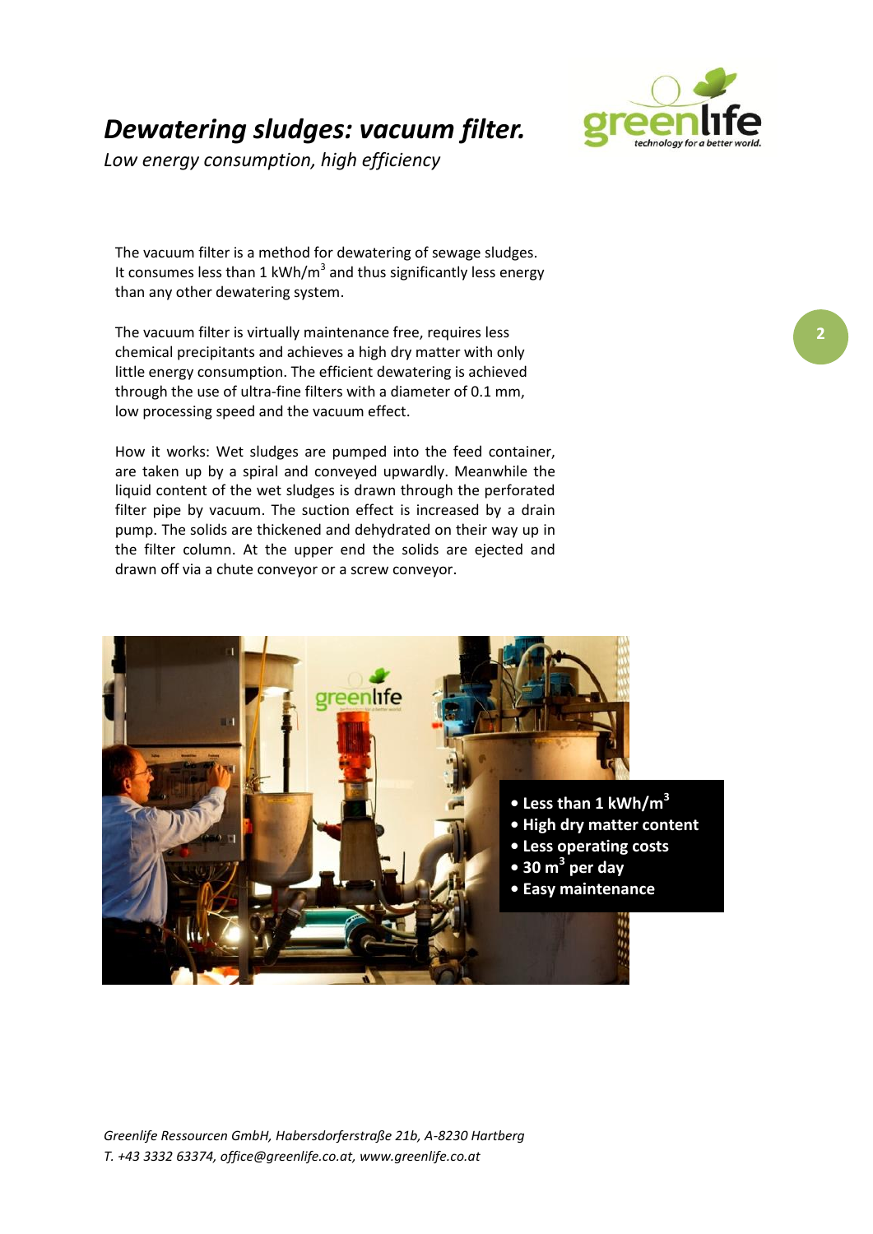

*Low energy consumption, high efficiency*



The vacuum filter is a method for dewatering of sewage sludges. It consumes less than 1 kWh/m<sup>3</sup> and thus significantly less energy than any other dewatering system.

The vacuum filter is virtually maintenance free, requires less chemical precipitants and achieves a high dry matter with only little energy consumption. The efficient dewatering is achieved through the use of ultra-fine filters with a diameter of 0.1 mm, low processing speed and the vacuum effect.

How it works: Wet sludges are pumped into the feed container, are taken up by a spiral and conveyed upwardly. Meanwhile the liquid content of the wet sludges is drawn through the perforated filter pipe by vacuum. The suction effect is increased by a drain pump. The solids are thickened and dehydrated on their way up in the filter column. At the upper end the solids are ejected and drawn off via a chute conveyor or a screw conveyor.

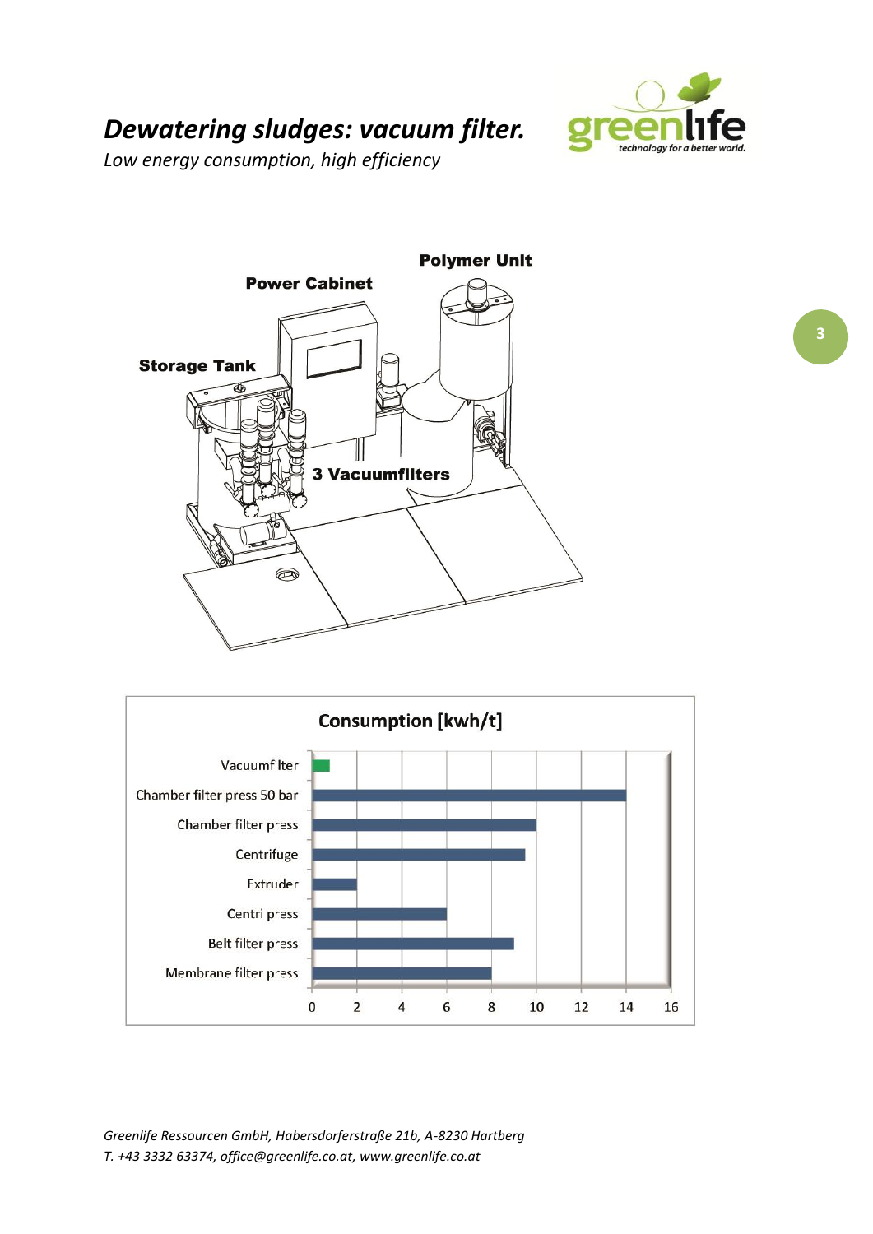

## *Dewatering sludges: vacuum filter.*

*Low energy consumption, high efficiency*





*Greenlife Ressourcen GmbH, Habersdorferstraße 21b, A-8230 Hartberg T. +43 3332 63374, office@greenlife.co.at, www.greenlife.co.at*